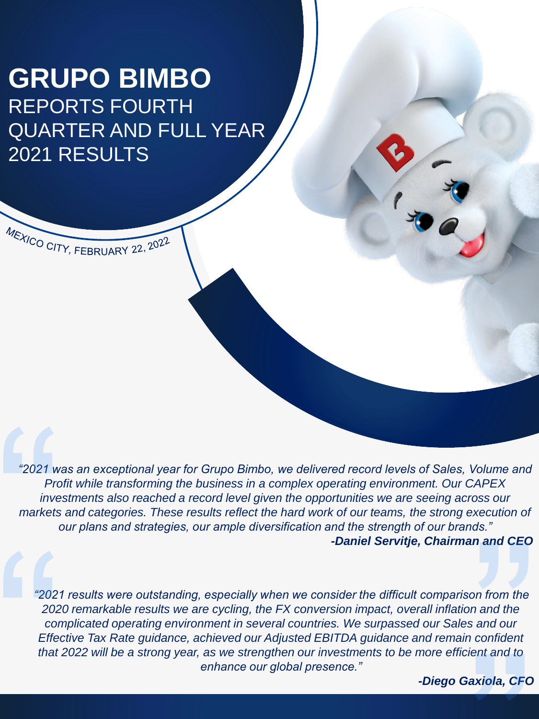# **GRUPO BIMBO** REPORTS FOURTH QUARTER AND FULL YEAR 2021 RESULTS

MEXICO CITY, FEBRUARY 22, 2022

*"2021 was an exceptional year for Grupo Bimbo, we delivered record levels of Sales, Volume and Profit while transforming the business in a complex operating environment. Our CAPEX investments also reached a record level given the opportunities we are seeing across our markets and categories. These results reflect the hard work of our teams, the strong execution of our plans and strategies, our ample diversification and the strength of our brands." -Daniel Servitje, Chairman and CEO*

*"2021 results were outstanding, especially when we consider the difficult comparison from the 2020 remarkable results we are cycling, the FX conversion impact, overall inflation and the complicated operating environment in several countries. We surpassed our Sales and our Effective Tax Rate guidance, achieved our Adjusted EBITDA guidance and remain confident that 2022 will be a strong year, as we strengthen our investments to be more efficient and to enhance our global presence."*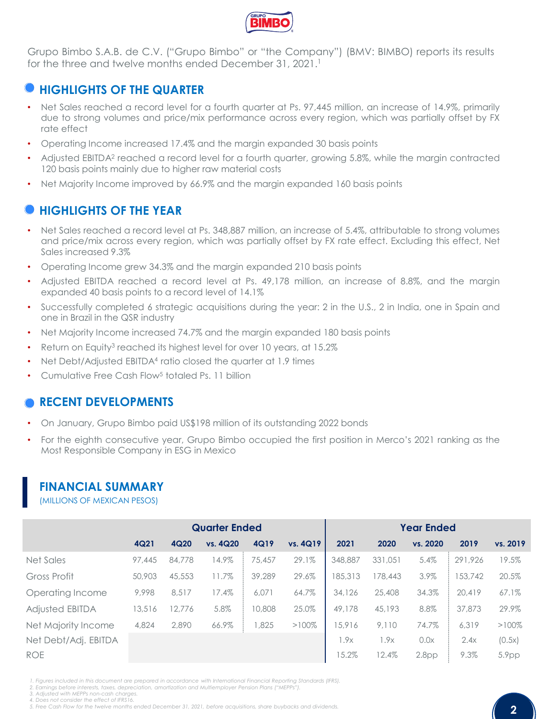

Grupo Bimbo S.A.B. de C.V. ("Grupo Bimbo" or "the Company") (BMV: BIMBO) reports its results for the three and twelve months ended December 31, 2021. 1

# **HIGHLIGHTS OF THE QUARTER**

- Net Sales reached a record level for a fourth quarter at Ps. 97,445 million, an increase of 14.9%, primarily due to strong volumes and price/mix performance across every region, which was partially offset by FX rate effect
- Operating Income increased 17.4% and the margin expanded 30 basis points
- Adjusted EBITDA<sup>2</sup> reached a record level for a fourth quarter, growing 5.8%, while the margin contracted 120 basis points mainly due to higher raw material costs
- Net Majority Income improved by 66.9% and the margin expanded 160 basis points

# **HIGHLIGHTS OF THE YEAR**

- Net Sales reached a record level at Ps. 348,887 million, an increase of 5.4%, attributable to strong volumes and price/mix across every region, which was partially offset by FX rate effect. Excluding this effect, Net Sales increased 9.3%
- Operating Income grew 34.3% and the margin expanded 210 basis points
- Adjusted EBITDA reached a record level at Ps. 49,178 million, an increase of 8.8%, and the margin expanded 40 basis points to a record level of 14.1%
- Successfully completed 6 strategic acquisitions during the year: 2 in the U.S., 2 in India, one in Spain and one in Brazil in the QSR industry
- Net Majority Income increased 74.7% and the margin expanded 180 basis points
- Return on Equity<sup>3</sup> reached its highest level for over 10 years, at 15.2%
- Net Debt/Adjusted EBITDA<sup>4</sup> ratio closed the quarter at 1.9 times
- Cumulative Free Cash Flow<sup>5</sup> totaled Ps. 11 billion

# **RECENT DEVELOPMENTS**

- On January, Grupo Bimbo paid US\$198 million of its outstanding 2022 bonds
- For the eighth consecutive year, Grupo Bimbo occupied the first position in Merco's 2021 ranking as the Most Responsible Company in ESG in Mexico

# **FINANCIAL SUMMARY**

(MILLIONS OF MEXICAN PESOS)

|                        |        |        | <b>Quarter Ended</b> |        |          | <b>Year Ended</b> |         |                   |         |          |
|------------------------|--------|--------|----------------------|--------|----------|-------------------|---------|-------------------|---------|----------|
|                        | 4Q21   | 4Q20   | vs. 4Q20             | 4Q19   | vs. 4Q19 | 2021              | 2020    | vs. 2020          | 2019    | vs. 2019 |
| Net Sales              | 97,445 | 84,778 | 14.9%                | 75.457 | 29.1%    | 348,887           | 331,051 | 5.4%              | 291,926 | 19.5%    |
| Gross Profit           | 50,903 | 45,553 | 11.7%                | 39,289 | 29.6%    | 185,313           | 178,443 | 3.9%              | 153,742 | 20.5%    |
| Operating Income       | 9.998  | 8.517  | 17.4%                | 6.071  | 64.7%    | 34,126            | 25,408  | 34.3%             | 20,419  | 67.1%    |
| <b>Adjusted EBITDA</b> | 13,516 | 12.776 | 5.8%                 | 10,808 | 25.0%    | 49,178            | 45,193  | 8.8%              | 37,873  | 29.9%    |
| Net Majority Income    | 4.824  | 2,890  | 66.9%                | 1,825  | $>100\%$ | 15,916            | 9,110   | 74.7%             | 6.319   | $>100\%$ |
| Net Debt/Adj. EBITDA   |        |        |                      |        |          | 1.9x              | 1.9x    | 0.0x              | 2.4x    | (0.5x)   |
| <b>ROE</b>             |        |        |                      |        |          | 15.2%             | 12.4%   | 2.8 <sub>pp</sub> | 9.3%    | 5.9pp    |

1. Fiaures included in this document are prepared in accordance with International Financial Reportina Standards (IFRS)

*2. Earnings before interests, taxes, depreciation, amortization and Multiemployer Pension Plans ("MEPPs").*

*3. Adjusted with MEPPs non-cash charges.*

*4. Does not consider the effect of IFRS16.*

<sup>5.</sup> Free Cash Flow for the twelve months ended December 31, 2021, before acquisitions, share buybacks and dividends.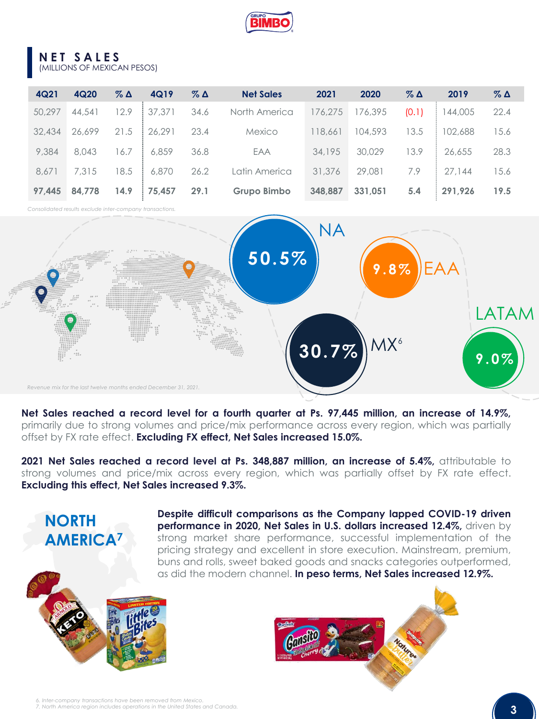

#### **NET SALES** (MILLIONS OF MEXICAN PESOS)

| 4Q21   | 4Q20   | $\%$ $\Delta$ | 4Q19   | $\%$ $\Delta$ | <b>Net Sales</b> | 2021    | 2020    | $\%$ $\Delta$ | 2019    | $\%$ $\Delta$ |
|--------|--------|---------------|--------|---------------|------------------|---------|---------|---------------|---------|---------------|
| 50,297 | 44.541 | 12.9          | 37,371 | 34.6          | North America    | 176,275 | 176,395 | (0.1)         | 144,005 | 22.4          |
| 32,434 | 26,699 | 21.5          | 26.291 | 23.4          | Mexico           | 118,661 | 104,593 | 13.5          | 102,688 | 15.6          |
| 9,384  | 8,043  | 16.7          | 6,859  | 36.8          | EAA              | 34,195  | 30,029  | 13.9          | 26,655  | 28.3          |
| 8,671  | 7.315  | 18.5          | 6,870  | 26.2          | Latin America    | 31,376  | 29,081  | 7.9           | 27.144  | 15.6          |
| 97.445 | 84.778 | 14.9          | 75,457 | 29.1          | Grupo Bimbo      | 348.887 | 331.051 | 5.4           | 291.926 | 19.5          |

*Consolidated results exclude inter-company transactions.*



**Net Sales reached a record level for a fourth quarter at Ps. 97,445 million, an increase of 14.9%,** primarily due to strong volumes and price/mix performance across every region, which was partially offset by FX rate effect. **Excluding FX effect, Net Sales increased 15.0%.**

**2021 Net Sales reached a record level at Ps. 348,887 million, an increase of 5.4%,** attributable to strong volumes and price/mix across every region, which was partially offset by FX rate effect. **Excluding this effect, Net Sales increased 9.3%.**



**NORTH** 

**Despite difficult comparisons as the Company lapped COVID-19 driven performance in 2020, Net Sales in U.S. dollars increased 12.4%,** driven by strong market share performance, successful implementation of the pricing strategy and excellent in store execution. Mainstream, premium, buns and rolls, sweet baked goods and snacks categories outperformed, as did the modern channel. **In peso terms, Net Sales increased 12.9%.**





*6. Inter-company transactions have been removed from Mexico. 7. North America region includes operations in the United States and Canada.*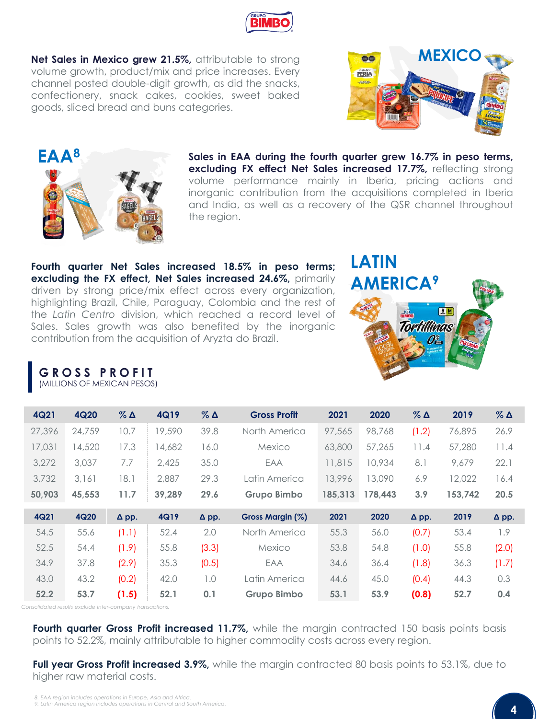**G R O S S P R O F I T** (MILLIONS OF MEXICAN PESOS)

| 4Q20   | $\%$ $\Delta$ | 4Q19   | $\%$ $\Delta$ | <b>Gross Profit</b> | 2021    | 2020    | $\%$ $\Delta$ | 2019    | $\%$ $\Delta$ |
|--------|---------------|--------|---------------|---------------------|---------|---------|---------------|---------|---------------|
| 24,759 | 10.7          | 19,590 | 39.8          | North America       | 97.565  | 98,768  | (1.2)         | 76,895  | 26.9          |
| 14,520 | 17.3          | 14,682 | 16.0          | Mexico              | 63,800  | 57,265  | 11.4          | 57,280  | 11.4          |
| 3,037  | 7.7           | 2,425  | 35.0          | EAA                 | 11,815  | 10,934  | 8.1           | 9.679   | 22.1          |
| 3.161  | 18.1          | 2,887  | 29.3          | Latin America       | 13,996  | 13,090  | 6.9           | 12,022  | 16.4          |
| 45,553 | 11.7          | 39,289 | 29.6          | Grupo Bimbo         | 185,313 | 178.443 | 3.9           | 153,742 | 20.5          |
| 4Q20   | $\Delta$ pp.  | 4Q19   | $\Delta$ pp.  | Gross Margin (%)    | 2021    | 2020    | $\Delta$ pp.  | 2019    | $\Delta$ pp.  |
| 55.6   | (1.1)         | 52.4   | 2.0           | North America       | 55.3    | 56.0    | (0.7)         | 53.4    | 1.9           |
| 54.4   | (1.9)         | 55.8   | (3.3)         | Mexico              | 53.8    | 54.8    | (1.0)         | 55.8    | (2.0)         |
| 37.8   | (2.9)         | 35.3   | (0.5)         | EAA                 | 34.6    | 36.4    | (1.8)         | 36.3    | (1.7)         |
| 43.2   | (0.2)         | 42.0   | 1.0           | Latin America       | 44.6    | 45.0    | (0.4)         | 44.3    | 0.3           |
| 53.7   | (1.5)         | 52.1   | 0.1           | Grupo Bimbo         | 53.1    | 53.9    | (0.8)         | 52.7    | 0.4           |
|        |               |        |               |                     |         |         |               |         |               |

*Consolidated results exclude inter-company transactions.*

**Fourth quarter Gross Profit increased 11.7%,** while the margin contracted 150 basis points basis points to 52.2%, mainly attributable to higher commodity costs across every region.

**Full year Gross Profit increased 3.9%,** while the margin contracted 80 basis points to 53.1%, due to higher raw material costs.

#### **Net Sales in Mexico grew 21.5%,** attributable to strong volume growth, product/mix and price increases. Every channel posted double-digit growth, as did the snacks, confectionery, snack cakes, cookies, sweet baked goods, sliced bread and buns categories.

**Sales in EAA during the fourth quarter grew 16.7% in peso terms, excluding FX effect Net Sales increased 17.7%,** reflecting strong volume performance mainly in Iberia, pricing actions and inorganic contribution from the acquisitions completed in Iberia and India, as well as a recovery of the QSR channel throughout the region.





contribution from the acquisition of Aryzta do Brazil.

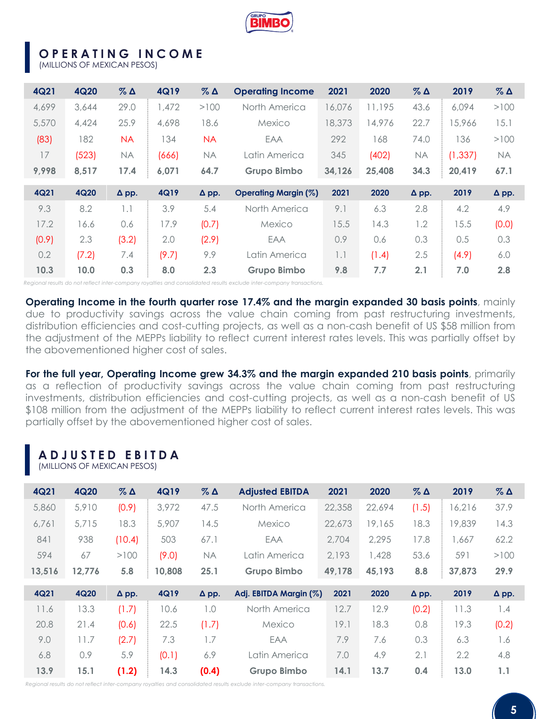

# **OPERATING INCOME**

(MILLIONS OF MEXICAN PESOS)

| 4Q21  | 4Q20  | $\%$ $\Delta$ | 4Q19  | $\%$ $\Delta$ | <b>Operating Income</b>     | 2021   | 2020   | $\%$ $\Delta$ | 2019     | $\%$ $\Delta$ |
|-------|-------|---------------|-------|---------------|-----------------------------|--------|--------|---------------|----------|---------------|
| 4,699 | 3,644 | 29.0          | 1.472 | >100          | North America               | 16.076 | 11,195 | 43.6          | 6.094    | >100          |
| 5,570 | 4,424 | 25.9          | 4,698 | 18.6          | Mexico                      | 18,373 | 14,976 | 22.7          | 5,966    | 15.1          |
| (83)  | 182   | <b>NA</b>     | 134   | <b>NA</b>     | EAA                         | 292    | 168    | 74.0          | 136      | >100          |
| 17    | (523) | <b>NA</b>     | (666) | <b>NA</b>     | Latin America               | 345    | (402)  | <b>NA</b>     | (1, 337) | <b>NA</b>     |
| 9,998 | 8,517 | 17.4          | 6,071 | 64.7          | Grupo Bimbo                 | 34,126 | 25,408 | 34.3          | 20,419   | 67.1          |
|       |       |               |       |               |                             |        |        |               |          |               |
| 4Q21  | 4Q20  | $\Delta$ pp.  | 4Q19  | $\Delta$ pp.  | <b>Operating Margin (%)</b> | 2021   | 2020   | $\Delta$ pp.  | 2019     | $\Delta$ pp.  |
| 9.3   | 8.2   | 1.1           | 3.9   | 5.4           | North America               | 9.1    | 6.3    | 2.8           | 4.2      | 4.9           |
| 17.2  | 16.6  | 0.6           | 17.9  | (0.7)         | Mexico                      | 15.5   | 14.3   | 1.2           | 15.5     | (0.0)         |
| (0.9) | 2.3   | (3.2)         | 2.0   | (2.9)         | EAA                         | 0.9    | 0.6    | 0.3           | 0.5      | 0.3           |
| 0.2   | (7.2) | 7.4           | (9.7) | 9.9           | Latin America               | 1.1    | (1.4)  | 2.5           | (4.9)    | 6.0           |

*Regional results do not reflect inter-company royalties and consolidated results exclude inter-company transactions.*

**Operating Income in the fourth quarter rose 17.4% and the margin expanded 30 basis points**, mainly due to productivity savings across the value chain coming from past restructuring investments, distribution efficiencies and cost-cutting projects, as well as a non-cash benefit of US \$58 million from the adjustment of the MEPPs liability to reflect current interest rates levels. This was partially offset by the abovementioned higher cost of sales.

**For the full year, Operating Income grew 34.3% and the margin expanded 210 basis points**, primarily as a reflection of productivity savings across the value chain coming from past restructuring investments, distribution efficiencies and cost-cutting projects, as well as a non-cash benefit of US \$108 million from the adjustment of the MEPPs liability to reflect current interest rates levels. This was partially offset by the abovementioned higher cost of sales.

#### **ADJUSTED EBITDA** (MILLIONS OF MEXICAN PESOS)

| 4Q21   | 4Q20   | $\%$ $\Delta$ | 4Q19   | $\%$ $\Delta$ | <b>Adjusted EBITDA</b> | 2021   | 2020   | $\%$ $\Delta$ | 2019   | $\%$ $\Delta$ |
|--------|--------|---------------|--------|---------------|------------------------|--------|--------|---------------|--------|---------------|
| 5,860  | 5,910  | (0.9)         | 3,972  | 47.5          | North America          | 22,358 | 22.694 | (1.5)         | 16.216 | 37.9          |
| 6.761  | 5.715  | 18.3          | 5,907  | 14.5          | Mexico                 | 22,673 | 19,165 | 18.3          | 19,839 | 14.3          |
| 841    | 938    | (10.4)        | 503    | 67.1          | EAA                    | 2,704  | 2.295  | 17.8          | 1.667  | 62.2          |
| 594    | 67     | >100          | (9.0)  | <b>NA</b>     | Latin America          | 2,193  | 1,428  | 53.6          | 591    | >100          |
| 13,516 | 12,776 | 5.8           | 10,808 | 25.1          | Grupo Bimbo            | 49,178 | 45,193 | 8.8           | 37,873 | 29.9          |
|        |        |               |        |               |                        |        |        |               |        |               |
| 4Q21   | 4Q20   | $\Delta$ pp.  | 4Q19   | $\Delta$ pp.  | Adj. EBITDA Margin (%) | 2021   | 2020   | $\Delta$ pp.  | 2019   | $\Delta$ pp.  |
| 11.6   | 13.3   | (1.7)         | 10.6   | 1.0           | North America          | 12.7   | 12.9   | (0.2)         | 11.3   | 1.4           |
| 20.8   | 21.4   | (0.6)         | 22.5   | (1.7)         | Mexico                 | 19.1   | 18.3   | 0.8           | 19.3   | (0.2)         |
| 9.0    | 11.7   | (2.7)         | 7.3    | 1.7           | EAA                    | 7.9    | 7.6    | 0.3           | 6.3    | 1.6           |
| 6.8    | 0.9    | 5.9           | (0.1)  | 6.9           | Latin America          | 7.0    | 4.9    | 2.1           | 2.2    | 4.8           |

*Regional results do not reflect inter-company royalties and consolidated results exclude inter-company transactions.*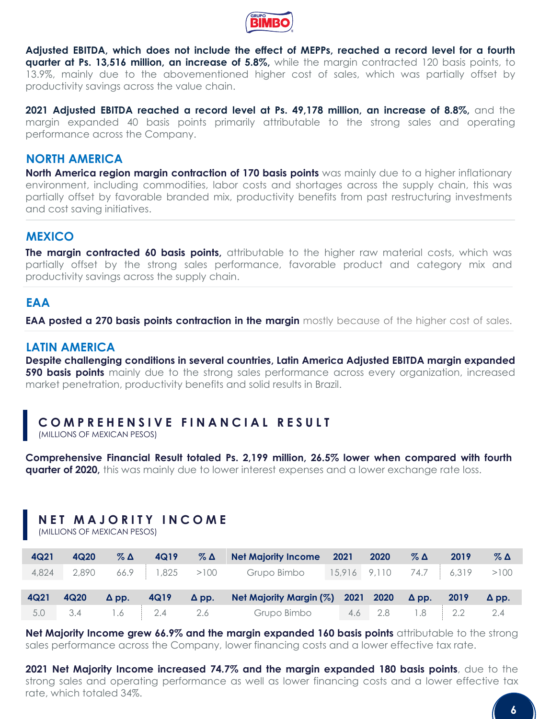

**Adjusted EBITDA, which does not include the effect of MEPPs, reached a record level for a fourth quarter at Ps. 13,516 million, an increase of 5.8%,** while the margin contracted 120 basis points, to 13.9%, mainly due to the abovementioned higher cost of sales, which was partially offset by productivity savings across the value chain.

**2021 Adjusted EBITDA reached a record level at Ps. 49,178 million, an increase of 8.8%,** and the margin expanded 40 basis points primarily attributable to the strong sales and operating performance across the Company.

## **NORTH AMERICA**

**North America region margin contraction of 170 basis points** was mainly due to a higher inflationary environment, including commodities, labor costs and shortages across the supply chain, this was partially offset by favorable branded mix, productivity benefits from past restructuring investments and cost saving initiatives.

#### **MEXICO**

**The margin contracted 60 basis points,** attributable to the higher raw material costs, which was partially offset by the strong sales performance, favorable product and category mix and productivity savings across the supply chain.

### **EAA**

**EAA posted a 270 basis points contraction in the margin** mostly because of the higher cost of sales.

#### **LATIN AMERICA**

**Despite challenging conditions in several countries, Latin America Adjusted EBITDA margin expanded 590 basis points** mainly due to the strong sales performance across every organization, increased market penetration, productivity benefits and solid results in Brazil.

# **COMPREHENSIVE FINANCIAL RESULT**

(MILLIONS OF MEXICAN PESOS)

**Comprehensive Financial Result totaled Ps. 2,199 million, 26.5% lower when compared with fourth quarter of 2020,** this was mainly due to lower interest expenses and a lower exchange rate loss.

# **NET MAJORITY INCOME**

(MILLIONS OF MEXICAN PESOS)

| 4Q21 | 4Q20 |  | $\%$ $\Delta$ 4Q19 $\%$ $\Delta$ Net Majority Income 2021 2020 $\%$ $\Delta$ 2019               |  |  | $\%$ $\Delta$ |
|------|------|--|-------------------------------------------------------------------------------------------------|--|--|---------------|
|      |      |  | 4,824 2,890 66.9 1,825 >100 Grupo Bimbo 15,916 9,110 74.7 6,319 >100                            |  |  |               |
|      |      |  |                                                                                                 |  |  |               |
| 4Q21 | 4Q20 |  | $\Delta$ pp. 4Q19 $\Delta$ pp. Net Majority Margin (%) 2021 2020 $\Delta$ pp. 2019 $\Delta$ pp. |  |  |               |
|      |      |  | 5.0 3.4 1.6 2.4 2.6 Grupo Bimbo 4.6 2.8 1.8 2.2 2.4                                             |  |  |               |

**Net Majority Income grew 66.9% and the margin expanded 160 basis points** attributable to the strong sales performance across the Company, lower financing costs and a lower effective tax rate.

**2021 Net Majority Income increased 74.7% and the margin expanded 180 basis points**, due to the strong sales and operating performance as well as lower financing costs and a lower effective tax rate, which totaled 34%.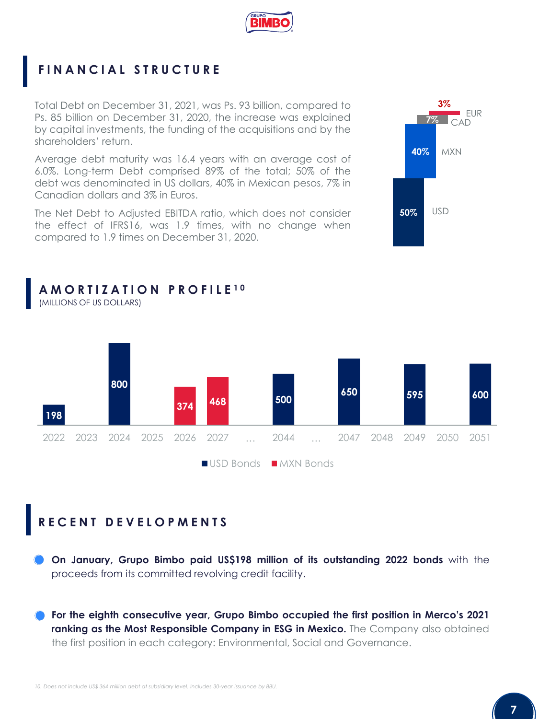

# **FINANCIAL STRUCTURE**

Total Debt on December 31, 2021, was Ps. 93 billion, compared to Ps. 85 billion on December 31, 2020, the increase was explained by capital investments, the funding of the acquisitions and by the shareholders' return.

Average debt maturity was 16.4 years with an average cost of 6.0%. Long-term Debt comprised 89% of the total; 50% of the debt was denominated in US dollars, 40% in Mexican pesos, 7% in Canadian dollars and 3% in Euros.

The Net Debt to Adjusted EBITDA ratio, which does not consider the effect of IFRS16, was 1.9 times, with no change when compared to 1.9 times on December 31, 2020.





# **RECENT DEVELOPMENTS**

**On January, Grupo Bimbo paid US\$198 million of its outstanding 2022 bonds** with the proceeds from its committed revolving credit facility.

**For the eighth consecutive year, Grupo Bimbo occupied the first position in Merco's 2021 ranking as the Most Responsible Company in ESG in Mexico.** The Company also obtained the first position in each category: Environmental, Social and Governance.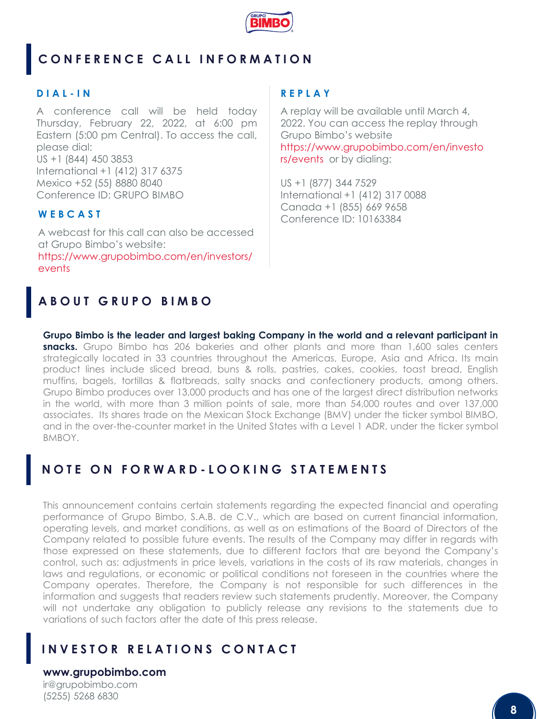

# **CONFERENCE CALL INFORMATION**

#### **D I A L - I N**

A conference call will be held today Thursday, February 22, 2022, at 6:00 pm Eastern (5:00 pm Central). To access the call, please dial: US +1 (844) 450 3853 International +1 (412) 317 6375 Mexico +52 (55) 8880 8040 Conference ID: GRUPO BIMBO

# **W E B C A S T**

A webcast for this call can also be accessed at Grupo Bimbo's website: https://www.grupobimbo.com/en/investors/ events

## **R E P L A Y**

A replay will be available until March 4, 2022. You can access the replay through Grupo Bimbo's website https://www.grupobimbo.com/en/investo rs/events or by dialing:

US +1 (877) 344 7529 International +1 (412) 317 0088 Canada +1 (855) 669 9658 Conference ID: 10163384

# **ABOUT GRUPO BIMBO**

**Grupo Bimbo is the leader and largest baking Company in the world and a relevant participant in snacks.** Grupo Bimbo has 206 bakeries and other plants and more than 1,600 sales centers strategically located in 33 countries throughout the Americas, Europe, Asia and Africa. Its main product lines include sliced bread, buns & rolls, pastries, cakes, cookies, toast bread, English muffins, bagels, tortillas & flatbreads, salty snacks and confectionery products, among others. Grupo Bimbo produces over 13,000 products and has one of the largest direct distribution networks in the world, with more than 3 million points of sale, more than 54,000 routes and over 137,000 associates. Its shares trade on the Mexican Stock Exchange (BMV) under the ticker symbol BIMBO, and in the over-the-counter market in the United States with a Level 1 ADR, under the ticker symbol BMBOY.

# **N O T E O N F O R W A R D - LOOKING STATEMENTS**

This announcement contains certain statements regarding the expected financial and operating performance of Grupo Bimbo, S.A.B. de C.V., which are based on current financial information, operating levels, and market conditions, as well as on estimations of the Board of Directors of the Company related to possible future events. The results of the Company may differ in regards with those expressed on these statements, due to different factors that are beyond the Company's control, such as: adjustments in price levels, variations in the costs of its raw materials, changes in laws and regulations, or economic or political conditions not foreseen in the countries where the Company operates. Therefore, the Company is not responsible for such differences in the information and suggests that readers review such statements prudently. Moreover, the Company will not undertake any obligation to publicly release any revisions to the statements due to variations of such factors after the date of this press release.

# **INVESTOR RELATIONS CONTACT**

**www.grupobimbo.com** ir@grupobimbo.com (5255) 5268 6830